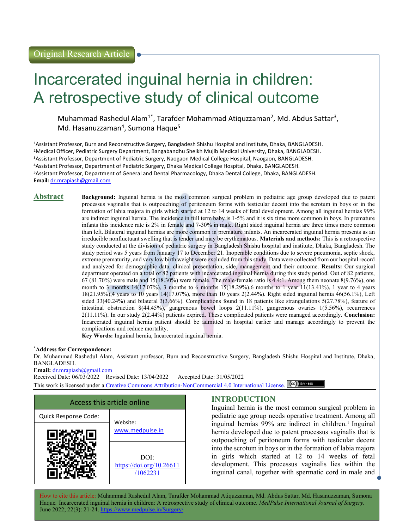# Incarcerated inguinal hernia in children: A retrospective study of clinical outcome

Muhammad Rashedul Alam<sup>1\*</sup>, Tarafder Mohammad Atiquzzaman<sup>2</sup>, Md. Abdus Sattar<sup>3</sup>, Md. Hasanuzzaman<sup>4</sup>, Sumona Haque<sup>5</sup>

Assistant Professor, Burn and Reconstructive Surgery, Bangladesh Shishu Hospital and Institute, Dhaka, BANGLADESH. Medical Officer, Pediatric Surgery Department, Bangabandhu Sheikh Mujib Medical University, Dhaka, BANGLADESH. Assistant Professor, Department of Pediatric Surgery, Naogaon Medical College Hospital, Naogaon, BANGLADESH. Assistant Professor, Department of Pediatric Surgery, Dhaka Medical College Hospital, Dhaka, BANGLADESH. Assistant Professor, Department of General and Dental Pharmacology, Dhaka Dental College, Dhaka, BANGLADESH. Email: dr.mrapiash@gmail.com

**Abstract** Background: Inguinal hernia is the most common surgical problem in pediatric age group developed due to patent processus vaginalis that is outpouching of peritoneum forms with testicular decent into the scrotum in boys or in the formation of labia majora in girls which started at 12 to 14 weeks of fetal development. Among all inguinal hernias 99% are indirect inguinal hernia. The incidence in full term baby is 1-5% and it is six time more common in boys. In premature infants this incidence rate is 2% in female and 7-30% in male. Right sided inguinal hernia are three times more common than left. Bilateral inguinal hernias are more common in premature infants. An incarcerated inguinal hernia presents as an irreducible nonfluctuant swelling that is tender and may be erythematous. Materials and methods: This is a retrospective study conducted at the division of pediatric surgery in Bangladesh Shishu hospital and institute, Dhaka, Bangladesh. The study period was 5 years from January 17 to December 21. Inoperable conditions due to severe pneumonia, septic shock, extreme prematurity, and very low birth weight were excluded from this study. Data were collected from our hospital record and analyzed for demographic data, clinical presentation, side, management and their outcome. Results: Our surgical department operated on a total of 82 patients with incarcerated inguinal hernia during this study period. Out of 82 patients,  $67 (81.70%)$  were male and  $15(18.30%)$  were female. The male-female ratio is  $4.4:1$ . Among them neonate  $8(9.76%)$ , one month to 3 months  $14(17.07\%)$ , 3 months to 6 months  $15(18.29\%)$ , 6 months to 1 year  $11(13.41\%)$ , 1 year to 4 years 18(21.95%),4 years to 10 years 14(17.07%), more than 10 years 2(2.44%). Right sided inguinal hernia 46(56.1%), Left sided 33(40.24%) and bilateral 3(3.66%). Complications found in 18 patients like strangulations 5(27.78%), feature of intestinal obstruction 8(44.45%), gangrenous bowel loops 2(11.11%), gangrenous ovaries 1(5.56%), recurrences 2(11.11%). In our study 2(2.44%) patients expired. These complicated patients were managed accordingly. Conclusion: Incarcerated inguinal hernia patient should be admitted in hospital earlier and manage accordingly to prevent the complications and reduce mortality.

Key Words: Inguinal hernia, Incarcerated inguinal hernia.

### \*Address for Correspondence:

Dr. Muhammad Rashedul Alam, Assistant professor, Burn and Reconstructive Surgery, Bangladesh Shishu Hospital and Institute, Dhaka, BANGLADESH.

Email: dr.mrapiash@gmail.com

Received Date: 06/03/2022 Revised Date: 13/04/2022 Accepted Date: 31/05/2022 This work is licensed under a Creative Commons Attribution-NonCommercial 4.0 International License. (CC) BY-NO



# INTRODUCTION

Inguinal hernia is the most common surgical problem in pediatric age group needs operative treatment. Among all inguinal hernias  $99\%$  are indirect in children.<sup>1</sup> Inguinal hernia developed due to patent processus vaginalis that is outpouching of peritoneum forms with testicular decent into the scrotum in boys or in the formation of labia majora in girls which started at 12 to 14 weeks of fetal development. This processus vaginalis lies within the inguinal canal, together with spermatic cord in male and

How to cite this article: Muhammad Rashedul Alam, Tarafder Mohammad Atiquzzaman, Md. Abdus Sattar, Md. Hasanuzzaman, Sumona Haque. Incarcerated inguinal hernia in children: A retrospective study of clinical outcome. MedPulse International Journal of Surgery. June 2022; 22(3): 21-24. https://www.medpulse.in/S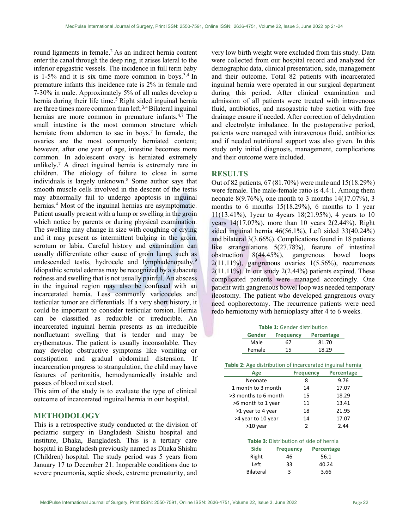round ligaments in female.<sup>2</sup> As an indirect hernia content enter the canal through the deep ring, it arises lateral to the inferior epigastric vessels. The incidence in full term baby is  $1-5\%$  and it is six time more common in boys.<sup>3,4</sup> In premature infants this incidence rate is 2% in female and 7-30% in male. Approximately 5% of all males develop a hernia during their life time.<sup>5</sup> Right sided inguinal hernia are three times more common than left.3,4 Bilateral inguinal hernias are more common in premature infants. $4,7$  The small intestine is the most common structure which herniate from abdomen to sac in boys.<sup>7</sup> In female, the ovaries are the most commonly herniated content; however, after one year of age, intestine becomes more common. In adolescent ovary is herniated extremely unlikely.<sup>7</sup> A direct inguinal hernia is extremely rare in children. The etiology of failure to close in some individuals is largely unknown.<sup>8</sup> Some author says that smooth muscle cells involved in the descent of the testis may abnormally fail to undergo apoptosis in inguinal hernias.<sup>4</sup> Most of the inguinal hernias are asymptomatic. Patient usually present with a lump or swelling in the groin which notice by parents or during physical examination. The swelling may change in size with coughing or crying and it may present as intermittent bulging in the groin, scrotum or labia. Careful history and examination can usually differentiate other cause of groin lump, such as undescended testis, hydrocele and lymphadenopathy.<sup>9</sup> Idiopathic scrotal edemas may be recognized by a subacute redness and swelling that is not usually painful. An abscess in the inguinal region may also be confused with an incarcerated hernia. Less commonly varicoceles and testicular tumor are differentials. If a very short history, it could be important to consider testicular torsion. Hernia can be classified as reducible or irreducible. An incarcerated inguinal hernia presents as an irreducible nonfluctuant swelling that is tender and may be erythematous. The patient is usually inconsolable. They may develop obstructive symptoms like vomiting or constipation and gradual abdominal distension. If incarceration progress to strangulation, the child may have features of peritonitis, hemodynamically instable and passes of blood mixed stool.

This aim of the study is to evaluate the type of clinical outcome of incarcerated inguinal hernia in our hospital.

#### METHODOLOGY

This is a retrospective study conducted at the division of pediatric surgery in Bangladesh Shishu hospital and institute, Dhaka, Bangladesh. This is a tertiary care hospital in Bangladesh previously named as Dhaka Shishu (Children) hospital. The study period was 5 years from January 17 to December 21. Inoperable conditions due to severe pneumonia, septic shock, extreme prematurity, and very low birth weight were excluded from this study. Data were collected from our hospital record and analyzed for demographic data, clinical presentation, side, management and their outcome. Total 82 patients with incarcerated inguinal hernia were operated in our surgical department during this period. After clinical examination and admission of all patients were treated with intravenous fluid, antibiotics, and nasogastric tube suction with free drainage ensure if needed. After correction of dehydration and electrolyte imbalance. In the postoperative period, patients were managed with intravenous fluid, antibiotics and if needed nutritional support was also given. In this study only initial diagnosis, management, complications and their outcome were included.

# **RESULTS**

Out of 82 patients, 67 (81.70%) were male and 15(18.29%) were female. The male-female ratio is 4.4:1. Among them neonate 8(9.76%), one month to 3 months 14(17.07%), 3 months to 6 months  $15(18.29\%)$ , 6 months to 1 year 11(13.41%), 1year to 4years 18(21.95%), 4 years to 10 years 14(17.07%), more than 10 years 2(2.44%). Right sided inguinal hernia 46(56.1%), Left sided 33(40.24%) and bilateral 3(3.66%). Complications found in 18 patients like strangulations 5(27.78%), feature of intestinal obstruction 8(44.45%), gangrenous bowel loops  $2(11.11\%)$ , gangrenous ovaries  $1(5.56\%)$ , recurrences  $2(11.11\%)$ . In our study  $2(2.44\%)$  patients expired. These complicated patients were managed accordingly. One patient with gangrenous bowel loop was needed temporary ileostomy. The patient who developed gangrenous ovary need oophorectomy. The recurrence patients were need redo herniotomy with hernioplasty after 4 to 6 weeks.

| <b>Table 1: Gender distribution</b> |                                |       |  |  |
|-------------------------------------|--------------------------------|-------|--|--|
| Gender                              | Percentage<br><b>Frequency</b> |       |  |  |
| Male                                | 67                             | 81.70 |  |  |
| Female                              | 15                             | 18.29 |  |  |

|  | Table 2: Age distribution of incarcerated inguinal hernia |  |
|--|-----------------------------------------------------------|--|
|  |                                                           |  |

| Age                  | <b>Frequency</b> | Percentage |
|----------------------|------------------|------------|
| Neonate              | 8                | 9.76       |
| 1 month to 3 month   | 14               | 17.07      |
| >3 months to 6 month | 15               | 18.29      |
| >6 month to 1 year   | 11               | 13.41      |
| >1 year to 4 year    | 18               | 21.95      |
| >4 year to 10 year   | 14               | 17.07      |
| >10 year             | 2                | 2.44       |

| <b>Table 3: Distribution of side of hernia</b> |                  |            |  |  |
|------------------------------------------------|------------------|------------|--|--|
| <b>Side</b>                                    | <b>Frequency</b> | Percentage |  |  |
| Right                                          | 46               | 56.1       |  |  |
| Left                                           | 33               | 40.24      |  |  |
| Bilateral                                      | R                | 3.66       |  |  |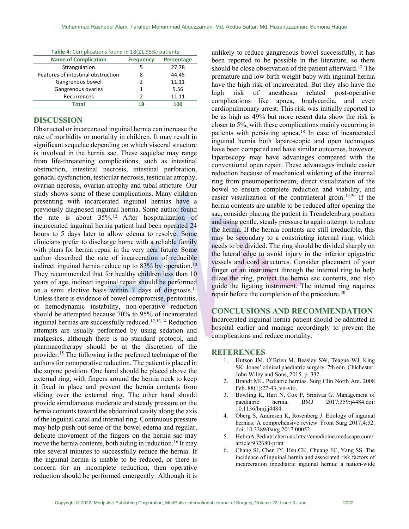| <b>Table II comprignations round in 10(11.5370) patients</b> |                  |            |  |  |
|--------------------------------------------------------------|------------------|------------|--|--|
| <b>Name of Complication</b>                                  | <b>Frequency</b> | Percentage |  |  |
| Strangulation                                                | 5                | 27.78      |  |  |
| Features of intestinal obstruction                           | 8                | 44.45      |  |  |
| Gangrenous bowel                                             | 2                | 11.11      |  |  |
| Gangrenous ovaries                                           | 1                | 5.56       |  |  |
| Recurrences                                                  | っ                | 11.11      |  |  |
| Total                                                        | 18               | 100        |  |  |
|                                                              |                  |            |  |  |

Table 4: Complications found in 18(21.95%) patients

## DISCUSSION

Obstructed or incarcerated inguinal hernia can increase the rate of morbidity or mortality in children. It may result in significant sequelae depending on which visceral structure is involved in the hernia sac. These sequelae may range from life-threatening complications, such as intestinal obstruction, intestinal necrosis, intestinal perforation, gonadal dysfunction, testicular necrosis, testicular atrophy, ovarian necrosis, ovarian atrophy and tubal stricture. Our study shows some of these complications. Many children presenting with incarcerated inguinal hernias have a previously diagnosed inguinal hernia. Some author found the rate is about  $35\%$ .<sup>12</sup> After hospitalization of incarcerated inguinal hernia patient had been operated 24 hours to 5 days later to allow edema to resolve. Some clinicians prefer to discharge home with a reliable family with plans for hernia repair in the very near future. Some author described the rate of incarceration of reducible indirect inguinal hernia reduce up to 83% by operation.<sup>10</sup> They recommended that for healthy children less than 10 years of age, indirect inguinal repair should be performed on a semi elective basis within 7 days of diagnosis.<sup>11</sup> Unless there is evidence of bowel compromise, peritonitis, or hemodynamic instability, non-operative reduction should be attempted because 70% to 95% of incarcerated inguinal hernias are successfully reduced.<sup>12,13,14</sup> Reduction attempts are usually performed by using sedation and analgesics, although there is no standard protocol, and pharmacotherapy should be at the discretion of the provider.<sup>15</sup> The following is the preferred technique of the authors for nonoperative reduction. The patient is placed in the supine position. One hand should be placed above the external ring, with fingers around the hernia neck to keep it fixed in place and prevent the hernia contents from sliding over the external ring. The other hand should provide simultaneous moderate and steady pressure on the hernia contents toward the abdominal cavity along the axis of the inguinal canal and internal ring. Continuous pressure may help push out some of the bowel edema and regular, delicate movement of the fingers on the hernia sac may move the hernia contents, both aiding in reduction.<sup>16</sup> It may take several minutes to successfully reduce the hernia. If the inguinal hernia is unable to be reduced, or there is concern for an incomplete reduction, then operative reduction should be performed emergently. Although it is

unlikely to reduce gangrenous bowel successfully, it has been reported to be possible in the literature, so there should be close observation of the patient afterward.<sup>17</sup> The premature and low birth weight baby with inguinal hernia have the high risk of incarcerated. But they also have the high risk of anesthesia related post-operative complications like apnea, bradycardia, and even cardiopulmonary arrest. This risk was initially reported to be as high as 49% but more resent data show the risk is closer to 5%, with these complications mainly occurring in patients with persisting apnea.<sup>18</sup> In case of incarcerated inguinal hernia both laparoscopic and open techniques have been compared and have similar outcomes, however, laparoscopy may have advantages compared with the conventional open repair. These advantages include easier reduction because of mechanical widening of the internal ring from pneumoperitoneum, direct visualization of the bowel to ensure complete reduction and viability, and easier visualization of the contralateral groin.19,20 If the hernia contents are unable to be reduced after opening the sac, consider placing the patient in Trendelenburg position and using gentle, steady pressure to again attempt to reduce the hernia. If the hernia contents are still irreducible, this may be secondary to a constricting internal ring, which needs to be divided. The ring should be divided sharply on the lateral edge to avoid injury in the inferior epigastric vessels and cord structures. Consider placement of your finger or an instrument through the internal ring to help dilate the ring, protect the hernia sac contents, and also guide the ligating instrument. The internal ring requires repair before the completion of the procedure.<sup>20</sup>

# CONCLUSIONS AND RECOMMENDATION

Incarcerated inguinal hernia patient should be admitted in hospital earlier and manage accordingly to prevent the complications and reduce mortality.

#### **REFERENCES**

- 1. Hutson JM, O'Brien M, Beasley SW, Teague WJ, King SK. Jones' clinical paediatric surgery. 7th edn. Chichester: John Wiley and Sons, 2015. p. 332.
- 2. Brandt ML. Pediatric hernias. Surg Clin North Am. 2008 Feb. 88(1):27-43, vii-viii.
- 3. Bowling K, Hart N, Cox P, Srinivas G. Management of paediatric hernia. BMJ 2017;359:j4484.doi: 10.1136/bmj.j4484.
- 4. Öberg S, Andresen K, Rosenberg J. Etiology of inguinal hernias: A comprehensive review. Front Surg 2017;4:52. doi: 10.3389/fsurg.2017.00052.
- 5. HebraA.Pediatrichernias.htts://emedicine.medscape.com/ article/932680-print
- 6. Chang SJ, Chen JY, Hsu CK, Chuang FC, Yang SS. The incidence of inguinal hernia and associated risk factors of incarceration inpediatric inguinal hernia: a nation-wide